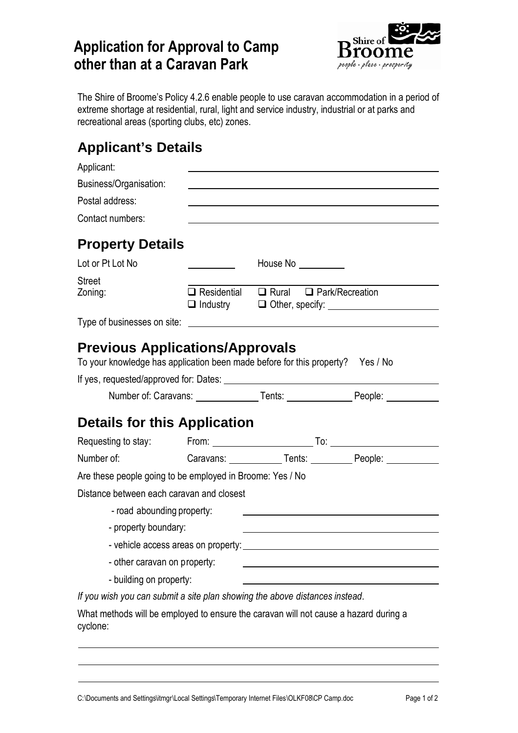## **Application for Approval to Camp other than at a Caravan Park**



The Shire of Broome's Policy 4.2.6 enable people to use caravan accommodation in a period of extreme shortage at residential, rural, light and service industry, industrial or at parks and recreational areas (sporting clubs, etc) zones.

## **Applicant's Details**

| Applicant:                                                                                                               |                                                        |                                                                                         |  |
|--------------------------------------------------------------------------------------------------------------------------|--------------------------------------------------------|-----------------------------------------------------------------------------------------|--|
| Business/Organisation:                                                                                                   |                                                        |                                                                                         |  |
| Postal address:                                                                                                          |                                                        |                                                                                         |  |
| Contact numbers:                                                                                                         |                                                        |                                                                                         |  |
| <b>Property Details</b>                                                                                                  |                                                        |                                                                                         |  |
| Lot or Pt Lot No                                                                                                         | House No __________                                    |                                                                                         |  |
| <b>Street</b>                                                                                                            |                                                        |                                                                                         |  |
| Zoning:                                                                                                                  | $\Box$ Residential $\Box$ Rural $\Box$ Park/Recreation |                                                                                         |  |
|                                                                                                                          |                                                        |                                                                                         |  |
| <b>Previous Applications/Approvals</b><br>To your knowledge has application been made before for this property? Yes / No |                                                        | Number of: Caravans: ________________Tents: _______________________People: ____________ |  |
|                                                                                                                          |                                                        |                                                                                         |  |
| <b>Details for this Application</b>                                                                                      |                                                        |                                                                                         |  |
| Requesting to stay:                                                                                                      |                                                        |                                                                                         |  |
| Number of:                                                                                                               |                                                        | Caravans: _____________Tents: ___________People: _______________________________        |  |
| Are these people going to be employed in Broome: Yes / No                                                                |                                                        |                                                                                         |  |
| Distance between each caravan and closest<br>- road abounding property:                                                  |                                                        |                                                                                         |  |
| - property boundary:                                                                                                     |                                                        |                                                                                         |  |
|                                                                                                                          |                                                        |                                                                                         |  |
| - other caravan on property:                                                                                             |                                                        |                                                                                         |  |
| - building on property:                                                                                                  |                                                        |                                                                                         |  |
| If you wish you can submit a site plan showing the above distances instead.                                              |                                                        |                                                                                         |  |
| What methods will be employed to ensure the caravan will not cause a hazard during a<br>cyclone:                         |                                                        |                                                                                         |  |